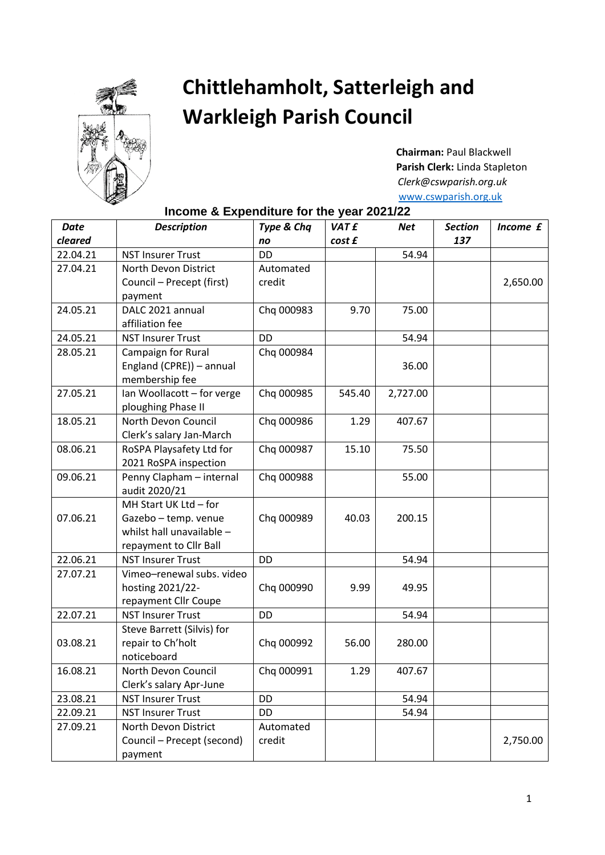

## **Chittlehamholt, Satterleigh and Warkleigh Parish Council**

 **Chairman:** Paul Blackwell **Parish Clerk:** Linda Stapleton  *Clerk@cswparish.org.uk*  [www.cswparish.org.uk](http://www.cswparish.org.uk/)

## **Income & Expenditure for the year 2021/22**

| <b>Date</b> | <b>Description</b>         | Type & Chq | <b>VATE</b> | <b>Net</b> | <b>Section</b> | Income £ |
|-------------|----------------------------|------------|-------------|------------|----------------|----------|
| cleared     |                            | no         | cost £      |            | 137            |          |
| 22.04.21    | <b>NST Insurer Trust</b>   | <b>DD</b>  |             | 54.94      |                |          |
| 27.04.21    | North Devon District       | Automated  |             |            |                |          |
|             | Council - Precept (first)  | credit     |             |            |                | 2,650.00 |
|             | payment                    |            |             |            |                |          |
| 24.05.21    | DALC 2021 annual           | Chq 000983 | 9.70        | 75.00      |                |          |
|             | affiliation fee            |            |             |            |                |          |
| 24.05.21    | <b>NST Insurer Trust</b>   | <b>DD</b>  |             | 54.94      |                |          |
| 28.05.21    | Campaign for Rural         | Chq 000984 |             |            |                |          |
|             | England (CPRE)) - annual   |            |             | 36.00      |                |          |
|             | membership fee             |            |             |            |                |          |
| 27.05.21    | Ian Woollacott - for verge | Chq 000985 | 545.40      | 2,727.00   |                |          |
|             | ploughing Phase II         |            |             |            |                |          |
| 18.05.21    | North Devon Council        | Chq 000986 | 1.29        | 407.67     |                |          |
|             | Clerk's salary Jan-March   |            |             |            |                |          |
| 08.06.21    | RoSPA Playsafety Ltd for   | Chq 000987 | 15.10       | 75.50      |                |          |
|             | 2021 RoSPA inspection      |            |             |            |                |          |
| 09.06.21    | Penny Clapham - internal   | Chq 000988 |             | 55.00      |                |          |
|             | audit 2020/21              |            |             |            |                |          |
|             | MH Start UK Ltd - for      |            |             |            |                |          |
| 07.06.21    | Gazebo - temp. venue       | Chq 000989 | 40.03       | 200.15     |                |          |
|             | whilst hall unavailable -  |            |             |            |                |          |
|             | repayment to Cllr Ball     |            |             |            |                |          |
| 22.06.21    | <b>NST Insurer Trust</b>   | DD         |             | 54.94      |                |          |
| 27.07.21    | Vimeo-renewal subs. video  |            |             |            |                |          |
|             | hosting 2021/22-           | Chq 000990 | 9.99        | 49.95      |                |          |
|             | repayment Cllr Coupe       |            |             |            |                |          |
| 22.07.21    | <b>NST Insurer Trust</b>   | <b>DD</b>  |             | 54.94      |                |          |
|             | Steve Barrett (Silvis) for |            |             |            |                |          |
| 03.08.21    | repair to Ch'holt          | Chq 000992 | 56.00       | 280.00     |                |          |
|             | noticeboard                |            |             |            |                |          |
| 16.08.21    | North Devon Council        | Chq 000991 | 1.29        | 407.67     |                |          |
|             | Clerk's salary Apr-June    |            |             |            |                |          |
| 23.08.21    | <b>NST Insurer Trust</b>   | DD         |             | 54.94      |                |          |
| 22.09.21    | <b>NST Insurer Trust</b>   | DD         |             | 54.94      |                |          |
| 27.09.21    | North Devon District       | Automated  |             |            |                |          |
|             | Council - Precept (second) | credit     |             |            |                | 2,750.00 |
|             | payment                    |            |             |            |                |          |